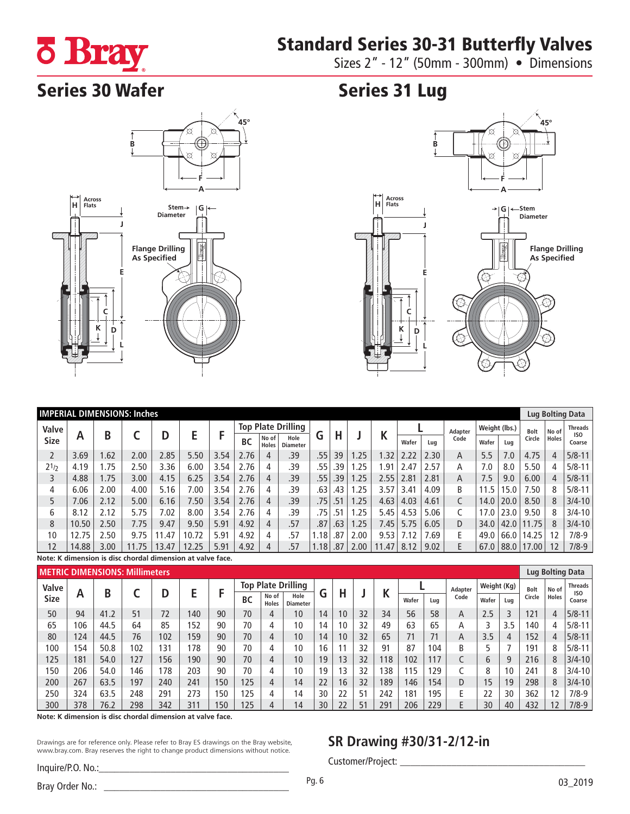# Standard Series 30-31 Butterfly Valves



Sizes 2" - 12" (50mm - 300mm) • Dimensions

# Series 30 Wafer Series 31 Lug





|             | <b>IMPERIAL DIMENSIONS: Inches</b> |      |       |       |       |      |                           |                       |                         |        |     |      |      |       |      | Lug Bolting Data |               |      |             |              |                           |
|-------------|------------------------------------|------|-------|-------|-------|------|---------------------------|-----------------------|-------------------------|--------|-----|------|------|-------|------|------------------|---------------|------|-------------|--------------|---------------------------|
| Valve       | Α                                  | B    |       |       | E     |      | <b>Top Plate Drilling</b> |                       |                         |        |     |      | V    |       |      | Adapter          | Weight (lbs.) |      | <b>Bolt</b> | No of        | <b>Threads</b>            |
| <b>Size</b> |                                    |      |       |       |       |      | <b>BC</b>                 | No of<br><b>Holes</b> | Hole<br><b>Diameter</b> | G      | Н   |      | r    | Wafer | Lua  | Code             | Wafer         | Lug  | Circle      | <b>Holes</b> | IS <sub>0</sub><br>Coarse |
|             | 3.69                               | .62  | 2.00  | 2.85  | 5.50  | 3.54 | 2.76                      | 4                     | .39                     | .55    | 39  | .25  | .32  | 2.22  | 2.30 | A                | 5.5           | 7.0  | 4.75        | 4            | $5/8 - 11$                |
| $2^{1/2}$   | 4.19                               | .75  | 2.50  | 3.36  | 6.00  | 3.54 | 2.76                      | 4                     | .39                     | .55    | 39  | .25  | 1.91 | 2.47  | 2.57 | A                | 7.0           | 8.0  | 5.50        |              | $5/8 - 11$                |
|             | 4.88                               | .75  | 3.00  | 4.15  | 6.25  | 3.54 | 2.76                      | 4                     | .39                     | .55    | .39 | .25  | 2.55 | 2.81  | 2.81 | A                | 7.5           | 9.0  | 6.00        | 4            | $5/8 - 11$                |
| 4           | 6.06                               | 2.00 | 4.00  | 5.16  | 7.00  | 3.54 | 2.76                      | 4                     | .39                     | .63    | .43 | .25  | 3.57 | 3.41  | 4.09 | B                | 11.5          | 5.0  | 50.'        | 8            | $5/8 - 11$                |
|             | 7.06                               | 2.12 | 5.00  | 6.16  | .50   | 3.54 | 2.76                      | 4                     | .39                     | .75    | .51 | .25  | 4.63 | 4.03  | 4.61 |                  | 14.0          | 20.0 | 8.50        | 8            | $3/4 - 10$                |
| 6           | 8.12                               | 2.12 | 5.75  | 7.02  | 8.00  | 3.54 | 2.76                      | 4                     | .39                     | .75    | 51  | .25  | 5.45 | 4.53  | 5.06 |                  | 7.0           | 23.0 | 9.50        | 8            | $3/4 - 10$                |
| 8           | 10.50                              | 2.50 | 7.75  | 9.47  | 9.50  | 5.91 | 4.92                      | 4                     | .57                     | .87    | .63 | .25  | 7.45 | 5.75  | 6.05 | D                | 34.0          | 42.0 | 11.75       | 8            | $3/4 - 10$                |
| 10          | 12.75                              | 2.50 | 9.75  | .47   | 10.72 | 5.91 | 4.92                      | 4                     | .57                     | .18    | 87  | 2.00 | 9.53 | 7.12  | .69  | F.               | 49.0          | 66.0 | 14.25       | 12           | $7/8-9$                   |
| 12          | 14.88                              | 3.00 | 11.75 | 13.47 | 12.25 | 5.91 | 4.92                      | 4                     | .57                     | $.18+$ | .87 | 2.00 | .47  | 8.12  | 9.02 |                  | 67.0          | 88.0 | 17.00       | 12           | $7/8-9$                   |

**Note: K dimension is disc chordal dimension at valve face.**

|             |     |      | <b>METRIC DIMENSIONS: Millimeters</b> |     |     |     |                           |                       |                         |    |    |    |     |       |     |         |             |     | Lug Bolting Data |              |                           |  |
|-------------|-----|------|---------------------------------------|-----|-----|-----|---------------------------|-----------------------|-------------------------|----|----|----|-----|-------|-----|---------|-------------|-----|------------------|--------------|---------------------------|--|
| Valve       |     |      |                                       |     |     |     | <b>Top Plate Drilling</b> |                       |                         |    |    |    |     |       |     | Adapter | Weight (Kg) |     | <b>Bolt</b>      | No of        | <b>Threads</b>            |  |
| <b>Size</b> | Α   | B    |                                       |     |     |     | <b>BC</b>                 | No of<br><b>Holes</b> | Hole<br><b>Diameter</b> | u  | п  |    |     | Wafer | Lug | Code    | Wafer       | Lug | Circle           | <b>Holes</b> | IS <sub>0</sub><br>Coarse |  |
| 50          | 94  | 41.2 | 51                                    | 72  | 140 | 90  | 70                        |                       | 10                      | 14 | 10 | 32 | 34  | 56    | 58  | A       | 2.5         |     | 121              |              | $5/8 - 11$                |  |
| 65          | 06  | 44.5 | 64                                    | 85  | 152 | 90  | 70                        |                       | 10                      | 14 | 10 | 32 | 49  | 63    | 65  | А       |             | 3.5 | 140              |              | $5/8 - 11$                |  |
| 80          | 124 | 44.5 | 76                                    | 102 | 159 | 90  | 70                        |                       | 10                      | 14 | 10 | 32 | 65  | 71    | 71  | A       | 3.5         | 4   | 152              |              | $5/8 - 11$                |  |
| 100         | 54  | 50.8 | 102                                   | 131 | 178 | 90  | 70                        |                       | 10                      | 16 |    | 32 | 91  | 87    | 104 | B       |             |     | 191              | 8            | $5/8 - 11$                |  |
| 125         | 181 | 54.0 | 127                                   | 156 | 190 | 90  | 70                        | 4                     | 10                      | 19 | 13 | 32 | 18  | 102   | 117 |         | b           | 9   | 216              |              | $3/4 - 10$                |  |
| 150         | 206 | 54.0 | 146                                   | 178 | 203 | 90  | 70                        | 4                     | 10                      | 19 | 13 | 32 | 38  | 115   | 129 |         | 8           | 10  | 241              | 8            | $3/4 - 10$                |  |
| 200         | 267 | 63.5 | 197                                   | 240 | 241 | 150 | 125                       | 4                     | 14                      | 22 | 16 | 32 | 89  | 146   | 154 | D       | 15          | 19  | 298              | 8            | $3/4 - 10$                |  |
| 250         | 324 | 63.5 | 248                                   | 291 | 273 | 150 | 125                       | 4                     | 14                      | 30 | 22 | 51 | 242 | 181   | 195 |         | 22          | 30  | 362              |              | $7/8-9$                   |  |
| 300         | 378 | 76.2 | 298                                   | 342 | 311 | 150 | 125                       |                       | 14                      | 30 | 22 | 51 | 291 | 206   | 229 |         | 30          | 40  | 432              |              | $7/8-9$                   |  |

**Note: K dimension is disc chordal dimension at valve face.**

Drawings are for reference only. Please refer to Bray ES drawings on the Bray website, www.bray.com. Bray reserves the right to change product dimensions without notice.

### Inquire/P.O. No.:

## **SR Drawing #30/31-2/12-in**

Customer/Project: